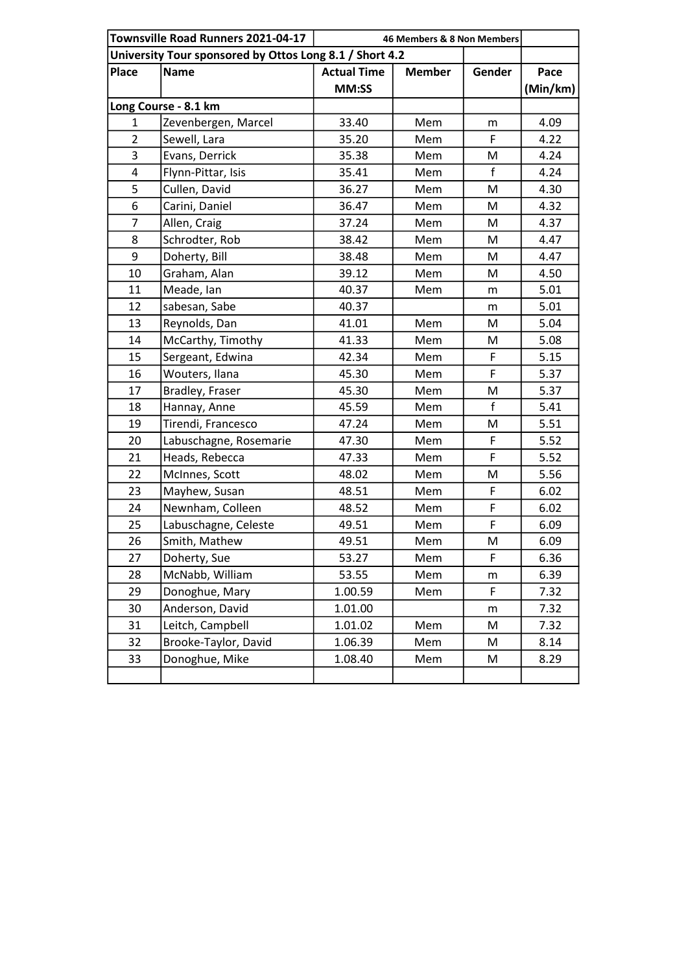|                                                         | Townsville Road Runners 2021-04-17 | 46 Members & 8 Non Members |               |             |          |  |  |
|---------------------------------------------------------|------------------------------------|----------------------------|---------------|-------------|----------|--|--|
| University Tour sponsored by Ottos Long 8.1 / Short 4.2 |                                    |                            |               |             |          |  |  |
| <b>Place</b>                                            | <b>Name</b>                        | <b>Actual Time</b>         | <b>Member</b> | Gender      | Pace     |  |  |
|                                                         |                                    | MM:SS                      |               |             | (Min/km) |  |  |
| Long Course - 8.1 km                                    |                                    |                            |               |             |          |  |  |
| $\mathbf{1}$                                            | Zevenbergen, Marcel                | 33.40                      | Mem           | m           | 4.09     |  |  |
| $\overline{2}$                                          | Sewell, Lara                       | 35.20                      | Mem           | F           | 4.22     |  |  |
| 3                                                       | Evans, Derrick                     | 35.38                      | Mem           | Μ           | 4.24     |  |  |
| 4                                                       | Flynn-Pittar, Isis                 | 35.41                      | Mem           | f           | 4.24     |  |  |
| 5                                                       | Cullen, David                      | 36.27                      | Mem           | M           | 4.30     |  |  |
| 6                                                       | Carini, Daniel                     | 36.47                      | Mem           | M           | 4.32     |  |  |
| 7                                                       | Allen, Craig                       | 37.24                      | Mem           | M           | 4.37     |  |  |
| 8                                                       | Schrodter, Rob                     | 38.42                      | Mem           | M           | 4.47     |  |  |
| 9                                                       | Doherty, Bill                      | 38.48                      | Mem           | M           | 4.47     |  |  |
| 10                                                      | Graham, Alan                       | 39.12                      | Mem           | М           | 4.50     |  |  |
| 11                                                      | Meade, Ian                         | 40.37                      | Mem           | m           | 5.01     |  |  |
| 12                                                      | sabesan, Sabe                      | 40.37                      |               | m           | 5.01     |  |  |
| 13                                                      | Reynolds, Dan                      | 41.01                      | Mem           | M           | 5.04     |  |  |
| 14                                                      | McCarthy, Timothy                  | 41.33                      | Mem           | M           | 5.08     |  |  |
| 15                                                      | Sergeant, Edwina                   | 42.34                      | Mem           | F           | 5.15     |  |  |
| 16                                                      | Wouters, Ilana                     | 45.30                      | Mem           | F           | 5.37     |  |  |
| 17                                                      | Bradley, Fraser                    | 45.30                      | Mem           | M           | 5.37     |  |  |
| 18                                                      | Hannay, Anne                       | 45.59                      | Mem           | f           | 5.41     |  |  |
| 19                                                      | Tirendi, Francesco                 | 47.24                      | Mem           | M           | 5.51     |  |  |
| 20                                                      | Labuschagne, Rosemarie             | 47.30                      | Mem           | F           | 5.52     |  |  |
| 21                                                      | Heads, Rebecca                     | 47.33                      | Mem           | F           | 5.52     |  |  |
| 22                                                      | McInnes, Scott                     | 48.02                      | Mem           | M           | 5.56     |  |  |
| 23                                                      | Mayhew, Susan                      | 48.51                      | Mem           | F           | 6.02     |  |  |
| 24                                                      | Newnham, Colleen                   | 48.52                      | Mem           | $\mathsf F$ | 6.02     |  |  |
| 25                                                      | Labuschagne, Celeste               | 49.51                      | Mem           | $\mathsf F$ | 6.09     |  |  |
| 26                                                      | Smith, Mathew                      | 49.51                      | Mem           | M           | 6.09     |  |  |
| 27                                                      | Doherty, Sue                       | 53.27                      | Mem           | F           | 6.36     |  |  |
| 28                                                      | McNabb, William                    | 53.55                      | Mem           | m           | 6.39     |  |  |
| 29                                                      | Donoghue, Mary                     | 1.00.59                    | Mem           | F           | 7.32     |  |  |
| 30                                                      | Anderson, David                    | 1.01.00                    |               | m           | 7.32     |  |  |
| 31                                                      | Leitch, Campbell                   | 1.01.02                    | Mem           | M           | 7.32     |  |  |
| 32                                                      | Brooke-Taylor, David               | 1.06.39                    | Mem           | M           | 8.14     |  |  |
| 33                                                      | Donoghue, Mike                     | 1.08.40                    | Mem           | M           | 8.29     |  |  |
|                                                         |                                    |                            |               |             |          |  |  |